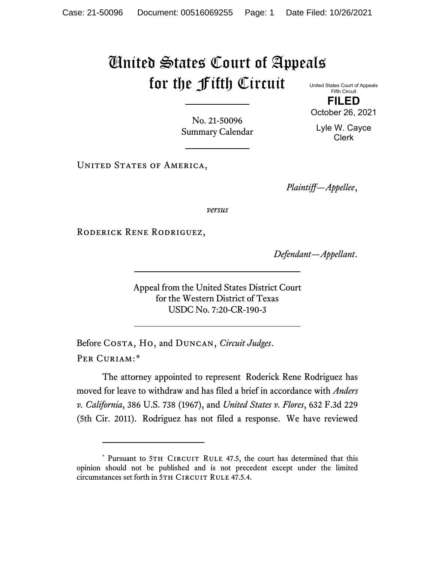## United States Court of Appeals for the Fifth Circuit United States Court of Appeals

Fifth Circuit **FILED**

No. 21-50096 Summary Calendar

UNITED STATES OF AMERICA,

*Plaintiff—Appellee*,

*versus*

Roderick Rene Rodriguez,

*Defendant—Appellant*.

Appeal from the United States District Court for the Western District of Texas USDC No. 7:20-CR-190-3

Before Costa, Ho, and Duncan, *Circuit Judges*. Per Curiam:[\\*](#page-0-0)

The attorney appointed to represent Roderick Rene Rodriguez has moved for leave to withdraw and has filed a brief in accordance with *Anders v. California*, 386 U.S. 738 (1967), and *United States v. Flores*, 632 F.3d 229 (5th Cir. 2011). Rodriguez has not filed a response. We have reviewed

October 26, 2021

Lyle W. Cayce Clerk

<span id="page-0-0"></span><sup>\*</sup> Pursuant to 5TH CIRCUIT RULE 47.5, the court has determined that this opinion should not be published and is not precedent except under the limited circumstances set forth in 5TH CIRCUIT RULE 47.5.4.